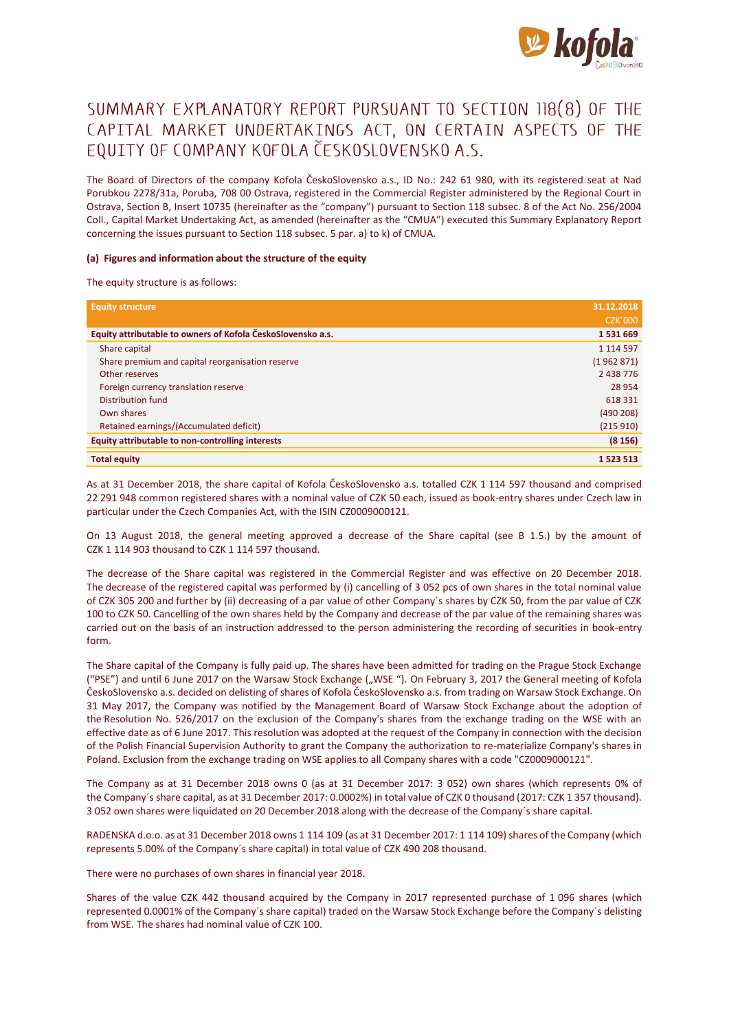

# SUMMARY EXPLANATORY REPORT PURSUANT TO SECTION 118(8) OF THE CAPITAL MARKET UNDERTAKINGS ACT, ON CERTAIN ASPECTS OF THE EQUITY OF COMPANY KOFOLA ČESKOSLOVENSKO A.S.

The Board of Directors of the company Kofola ČeskoSlovensko a.s., ID No.: 242 61 980, with its registered seat at Nad Porubkou 2278/31a, Poruba, 708 00 Ostrava, registered in the Commercial Register administered by the Regional Court in Ostrava, Section B, Insert 10735 (hereinafter as the "company") pursuant to Section 118 subsec. 8 of the Act No. 256/2004 Coll., Capital Market Undertaking Act, as amended (hereinafter as the "CMUA") executed this Summary Explanatory Report concerning the issues pursuant to Section 118 subsec. 5 par. a) to k) of CMUA.

## **(a) Figures and information about the structure of the equity**

The equity structure is as follows:

| <b>Equity structure</b>                                     | 31.12.2018     |
|-------------------------------------------------------------|----------------|
|                                                             | <b>CZK'000</b> |
| Equity attributable to owners of Kofola ČeskoSlovensko a.s. | 1531669        |
| Share capital                                               | 1 1 1 4 5 9 7  |
| Share premium and capital reorganisation reserve            | (1962871)      |
| Other reserves                                              | 2 438 776      |
| Foreign currency translation reserve                        | 28 9 54        |
| Distribution fund                                           | 618331         |
| Own shares                                                  | (490 208)      |
| Retained earnings/(Accumulated deficit)                     | (215910)       |
| <b>Equity attributable to non-controlling interests</b>     | (8156)         |
| <b>Total equity</b>                                         | 1 523 513      |

As at 31 December 2018, the share capital of Kofola ČeskoSlovensko a.s. totalled CZK 1 114 597 thousand and comprised 22 291 948 common registered shares with a nominal value of CZK 50 each, issued as book-entry shares under Czech law in particular under the Czech Companies Act, with the ISIN CZ0009000121.

On 13 August 2018, the general meeting approved a decrease of the Share capital (see B 1.5.) by the amount of CZK 1 114 903 thousand to CZK 1 114 597 thousand.

The decrease of the Share capital was registered in the Commercial Register and was effective on 20 December 2018. The decrease of the registered capital was performed by (i) cancelling of 3 052 pcs of own shares in the total nominal value of CZK 305 200 and further by (ii) decreasing of a par value of other Company´s shares by CZK 50, from the par value of CZK 100 to CZK 50. Cancelling of the own shares held by the Company and decrease of the par value of the remaining shares was carried out on the basis of an instruction addressed to the person administering the recording of securities in book-entry form.

The Share capital of the Company is fully paid up. The shares have been admitted for trading on the Prague Stock Exchange ("PSE") and until 6 June 2017 on the Warsaw Stock Exchange ("WSE"). On February 3, 2017 the General meeting of Kofola ČeskoSlovensko a.s. decided on delisting of shares of Kofola ČeskoSlovensko a.s. from trading on Warsaw Stock Exchange. On 31 May 2017, the Company was notified by the Management Board of Warsaw Stock Exchange about the adoption of the Resolution No. 526/2017 on the exclusion of the Company's shares from the exchange trading on the WSE with an effective date as of 6 June 2017. This resolution was adopted at the request of the Company in connection with the decision of the Polish Financial Supervision Authority to grant the Company the authorization to re-materialize Company's shares in Poland. Exclusion from the exchange trading on WSE applies to all Company shares with a code "CZ0009000121".

The Company as at 31 December 2018 owns 0 (as at 31 December 2017: 3 052) own shares (which represents 0% of the Company´s share capital, as at 31 December 2017: 0.0002%) in total value of CZK 0 thousand (2017: CZK 1 357 thousand). 3 052 own shares were liquidated on 20 December 2018 along with the decrease of the Company´s share capital.

RADENSKA d.o.o. as at 31 December 2018 owns 1 114 109 (as at 31 December 2017: 1 114 109) shares of the Company (which represents 5.00% of the Company´s share capital) in total value of CZK 490 208 thousand.

There were no purchases of own shares in financial year 2018.

Shares of the value CZK 442 thousand acquired by the Company in 2017 represented purchase of 1 096 shares (which represented 0.0001% of the Company´s share capital) traded on the Warsaw Stock Exchange before the Company´s delisting from WSE. The shares had nominal value of CZK 100.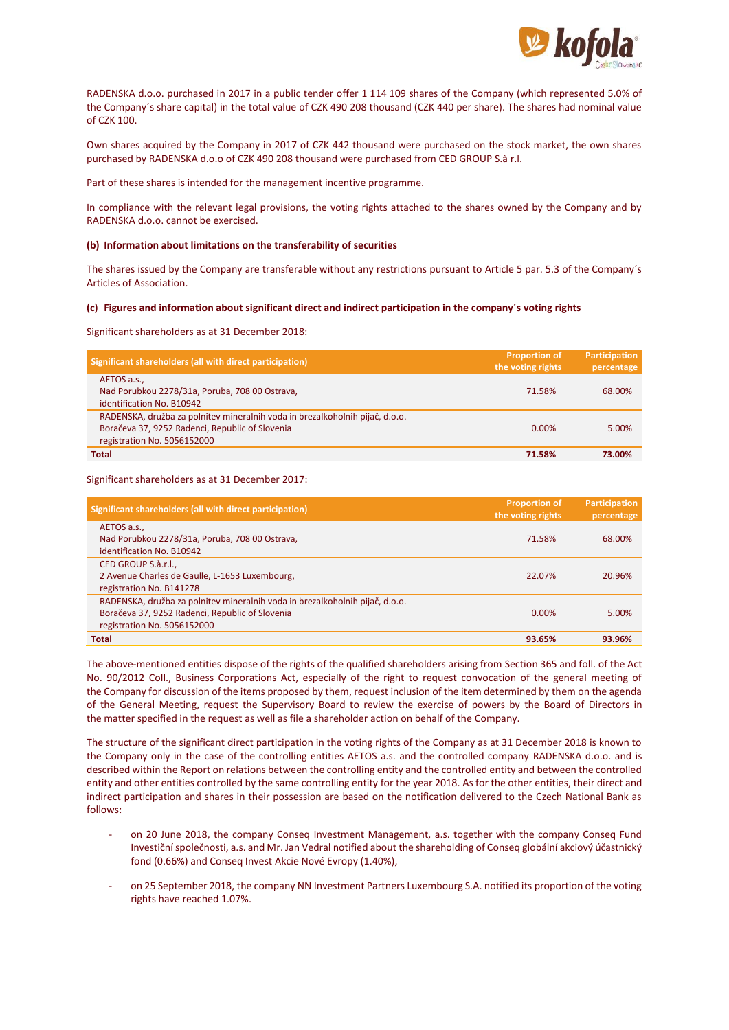

RADENSKA d.o.o. purchased in 2017 in a public tender offer 1 114 109 shares of the Company (which represented 5.0% of the Company´s share capital) in the total value of CZK 490 208 thousand (CZK 440 per share). The shares had nominal value of CZK 100.

Own shares acquired by the Company in 2017 of CZK 442 thousand were purchased on the stock market, the own shares purchased by RADENSKA d.o.o of CZK 490 208 thousand were purchased from CED GROUP S.à r.l.

Part of these shares is intended for the management incentive programme.

In compliance with the relevant legal provisions, the voting rights attached to the shares owned by the Company and by RADENSKA d.o.o. cannot be exercised.

#### **(b) Information about limitations on the transferability of securities**

The shares issued by the Company are transferable without any restrictions pursuant to Article 5 par. 5.3 of the Company´s Articles of Association.

#### **(c) Figures and information about significant direct and indirect participation in the company´s voting rights**

Significant shareholders as at 31 December 2018:

| Significant shareholders (all with direct participation)                     | <b>Proportion of</b><br>the voting rights | Participation<br>percentage |
|------------------------------------------------------------------------------|-------------------------------------------|-----------------------------|
| AETOS a.s.,                                                                  |                                           |                             |
| Nad Porubkou 2278/31a, Poruba, 708 00 Ostrava,                               | 71.58%                                    | 68,00%                      |
| identification No. B10942                                                    |                                           |                             |
| RADENSKA, družba za polnitev mineralnih voda in brezalkoholnih pijač, d.o.o. |                                           |                             |
| Boračeva 37, 9252 Radenci, Republic of Slovenia                              | 0.00%                                     | 5.00%                       |
| registration No. 5056152000                                                  |                                           |                             |
| <b>Total</b>                                                                 | 71.58%                                    | 73.00%                      |

Significant shareholders as at 31 December 2017:

| Significant shareholders (all with direct participation)                                                                                                       | <b>Proportion of</b><br>the voting rights | <b>Participation</b><br>percentage |
|----------------------------------------------------------------------------------------------------------------------------------------------------------------|-------------------------------------------|------------------------------------|
| AETOS a.s.,<br>Nad Porubkou 2278/31a, Poruba, 708 00 Ostrava,<br>identification No. B10942                                                                     | 71.58%                                    | 68.00%                             |
| CED GROUP S.à.r.l.,<br>2 Avenue Charles de Gaulle, L-1653 Luxembourg,<br>registration No. B141278                                                              | 22.07%                                    | 20.96%                             |
| RADENSKA, družba za polnitev mineralnih voda in brezalkoholnih pijač, d.o.o.<br>Boračeva 37, 9252 Radenci, Republic of Slovenia<br>registration No. 5056152000 | 0.00%                                     | 5.00%                              |
| Total                                                                                                                                                          | 93.65%                                    | 93.96%                             |

The above-mentioned entities dispose of the rights of the qualified shareholders arising from Section 365 and foll. of the Act No. 90/2012 Coll., Business Corporations Act, especially of the right to request convocation of the general meeting of the Company for discussion of the items proposed by them, request inclusion of the item determined by them on the agenda of the General Meeting, request the Supervisory Board to review the exercise of powers by the Board of Directors in the matter specified in the request as well as file a shareholder action on behalf of the Company.

The structure of the significant direct participation in the voting rights of the Company as at 31 December 2018 is known to the Company only in the case of the controlling entities AETOS a.s. and the controlled company RADENSKA d.o.o. and is described within the Report on relations between the controlling entity and the controlled entity and between the controlled entity and other entities controlled by the same controlling entity for the year 2018. As for the other entities, their direct and indirect participation and shares in their possession are based on the notification delivered to the Czech National Bank as follows:

- on 20 June 2018, the company Conseq Investment Management, a.s. together with the company Conseq Fund Investiční společnosti, a.s. and Mr. Jan Vedral notified about the shareholding of Conseq globální akciový účastnický fond (0.66%) and Conseq Invest Akcie Nové Evropy (1.40%),
- on 25 September 2018, the company NN Investment Partners Luxembourg S.A. notified its proportion of the voting rights have reached 1.07%.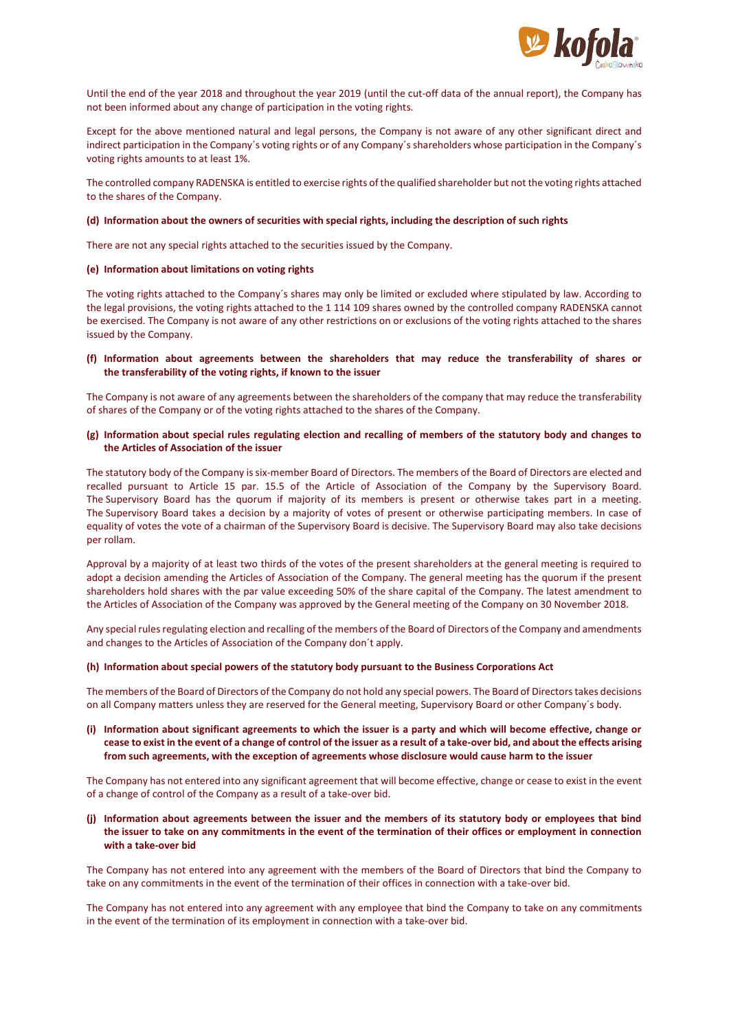

Until the end of the year 2018 and throughout the year 2019 (until the cut-off data of the annual report), the Company has not been informed about any change of participation in the voting rights.

Except for the above mentioned natural and legal persons, the Company is not aware of any other significant direct and indirect participation in the Company´s voting rights or of any Company´s shareholders whose participation in the Company´s voting rights amounts to at least 1%.

The controlled company RADENSKA is entitled to exercise rights of the qualified shareholder but not the voting rights attached to the shares of the Company.

#### **(d) Information about the owners of securities with special rights, including the description of such rights**

There are not any special rights attached to the securities issued by the Company.

#### **(e) Information about limitations on voting rights**

The voting rights attached to the Company´s shares may only be limited or excluded where stipulated by law. According to the legal provisions, the voting rights attached to the 1 114 109 shares owned by the controlled company RADENSKA cannot be exercised. The Company is not aware of any other restrictions on or exclusions of the voting rights attached to the shares issued by the Company.

## **(f) Information about agreements between the shareholders that may reduce the transferability of shares or the transferability of the voting rights, if known to the issuer**

The Company is not aware of any agreements between the shareholders of the company that may reduce the transferability of shares of the Company or of the voting rights attached to the shares of the Company.

## **(g) Information about special rules regulating election and recalling of members of the statutory body and changes to the Articles of Association of the issuer**

The statutory body of the Company is six-member Board of Directors. The members of the Board of Directors are elected and recalled pursuant to Article 15 par. 15.5 of the Article of Association of the Company by the Supervisory Board. The Supervisory Board has the quorum if majority of its members is present or otherwise takes part in a meeting. The Supervisory Board takes a decision by a majority of votes of present or otherwise participating members. In case of equality of votes the vote of a chairman of the Supervisory Board is decisive. The Supervisory Board may also take decisions per rollam.

Approval by a majority of at least two thirds of the votes of the present shareholders at the general meeting is required to adopt a decision amending the Articles of Association of the Company. The general meeting has the quorum if the present shareholders hold shares with the par value exceeding 50% of the share capital of the Company. The latest amendment to the Articles of Association of the Company was approved by the General meeting of the Company on 30 November 2018.

Any special rules regulating election and recalling of the members of the Board of Directors of the Company and amendments and changes to the Articles of Association of the Company don´t apply.

## **(h) Information about special powers of the statutory body pursuant to the Business Corporations Act**

The members of the Board of Directors of the Company do not hold any special powers. The Board of Directors takes decisions on all Company matters unless they are reserved for the General meeting, Supervisory Board or other Company´s body.

# **(i) Information about significant agreements to which the issuer is a party and which will become effective, change or cease to exist in the event of a change of control of the issuer as a result of a take-over bid, and about the effects arising from such agreements, with the exception of agreements whose disclosure would cause harm to the issuer**

The Company has not entered into any significant agreement that will become effective, change or cease to exist in the event of a change of control of the Company as a result of a take-over bid.

**(j) Information about agreements between the issuer and the members of its statutory body or employees that bind the issuer to take on any commitments in the event of the termination of their offices or employment in connection with a take-over bid**

The Company has not entered into any agreement with the members of the Board of Directors that bind the Company to take on any commitments in the event of the termination of their offices in connection with a take-over bid.

The Company has not entered into any agreement with any employee that bind the Company to take on any commitments in the event of the termination of its employment in connection with a take-over bid.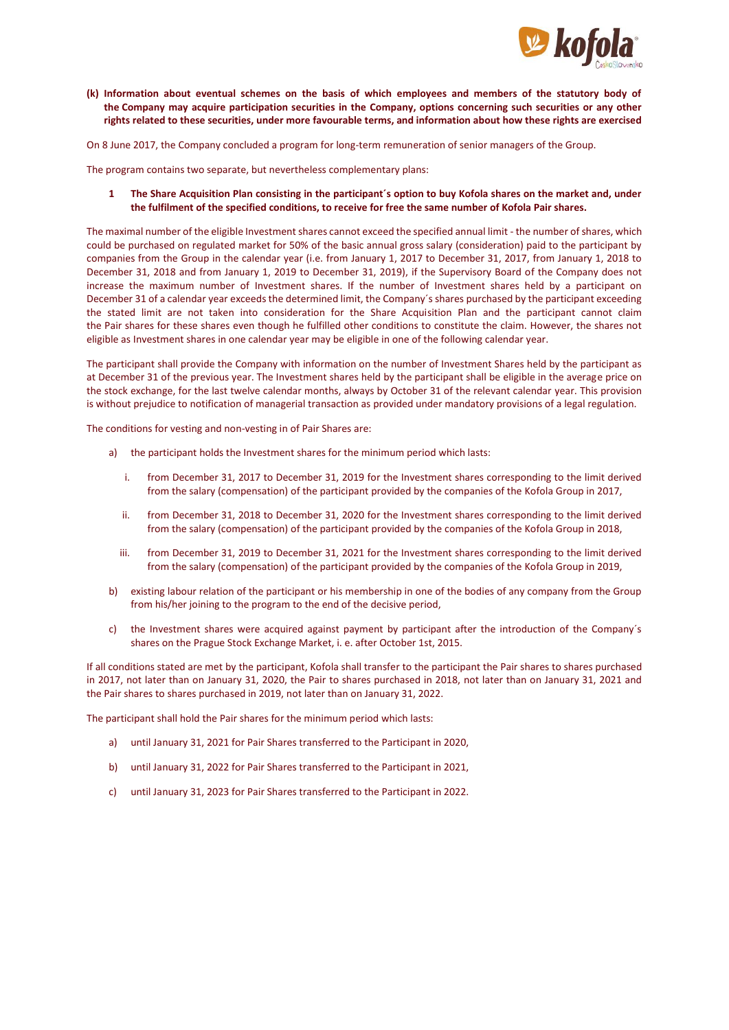

**(k) Information about eventual schemes on the basis of which employees and members of the statutory body of the Company may acquire participation securities in the Company, options concerning such securities or any other rights related to these securities, under more favourable terms, and information about how these rights are exercised**

On 8 June 2017, the Company concluded a program for long-term remuneration of senior managers of the Group.

The program contains two separate, but nevertheless complementary plans:

**1 The Share Acquisition Plan consisting in the participant´s option to buy Kofola shares on the market and, under the fulfilment of the specified conditions, to receive for free the same number of Kofola Pair shares.** 

The maximal number of the eligible Investment shares cannot exceed the specified annual limit - the number of shares, which could be purchased on regulated market for 50% of the basic annual gross salary (consideration) paid to the participant by companies from the Group in the calendar year (i.e. from January 1, 2017 to December 31, 2017, from January 1, 2018 to December 31, 2018 and from January 1, 2019 to December 31, 2019), if the Supervisory Board of the Company does not increase the maximum number of Investment shares. If the number of Investment shares held by a participant on December 31 of a calendar year exceeds the determined limit, the Company´s shares purchased by the participant exceeding the stated limit are not taken into consideration for the Share Acquisition Plan and the participant cannot claim the Pair shares for these shares even though he fulfilled other conditions to constitute the claim. However, the shares not eligible as Investment shares in one calendar year may be eligible in one of the following calendar year.

The participant shall provide the Company with information on the number of Investment Shares held by the participant as at December 31 of the previous year. The Investment shares held by the participant shall be eligible in the average price on the stock exchange, for the last twelve calendar months, always by October 31 of the relevant calendar year. This provision is without prejudice to notification of managerial transaction as provided under mandatory provisions of a legal regulation.

The conditions for vesting and non-vesting in of Pair Shares are:

- a) the participant holds the Investment shares for the minimum period which lasts:
	- i. from December 31, 2017 to December 31, 2019 for the Investment shares corresponding to the limit derived from the salary (compensation) of the participant provided by the companies of the Kofola Group in 2017,
	- ii. from December 31, 2018 to December 31, 2020 for the Investment shares corresponding to the limit derived from the salary (compensation) of the participant provided by the companies of the Kofola Group in 2018,
	- iii. from December 31, 2019 to December 31, 2021 for the Investment shares corresponding to the limit derived from the salary (compensation) of the participant provided by the companies of the Kofola Group in 2019,
- b) existing labour relation of the participant or his membership in one of the bodies of any company from the Group from his/her joining to the program to the end of the decisive period,
- c) the Investment shares were acquired against payment by participant after the introduction of the Company´s shares on the Prague Stock Exchange Market, i. e. after October 1st, 2015.

If all conditions stated are met by the participant, Kofola shall transfer to the participant the Pair shares to shares purchased in 2017, not later than on January 31, 2020, the Pair to shares purchased in 2018, not later than on January 31, 2021 and the Pair shares to shares purchased in 2019, not later than on January 31, 2022.

The participant shall hold the Pair shares for the minimum period which lasts:

- a) until January 31, 2021 for Pair Shares transferred to the Participant in 2020,
- b) until January 31, 2022 for Pair Shares transferred to the Participant in 2021,
- c) until January 31, 2023 for Pair Shares transferred to the Participant in 2022.